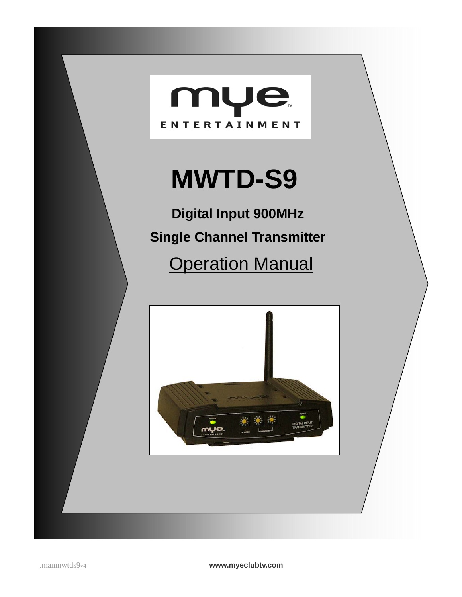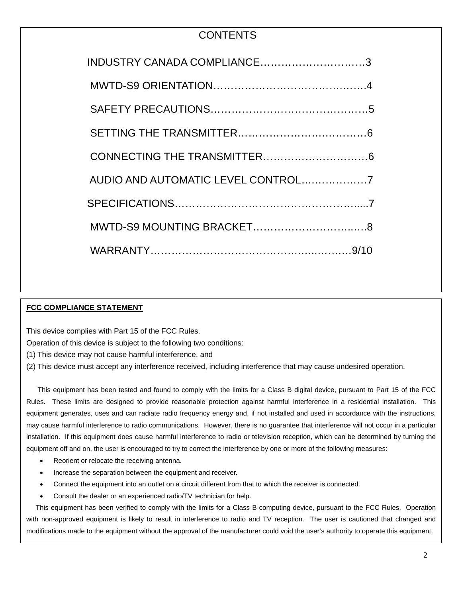## **CONTENTS**

| INDUSTRY CANADA COMPLIANCE3        |
|------------------------------------|
|                                    |
|                                    |
|                                    |
|                                    |
| AUDIO AND AUTOMATIC LEVEL CONTROL7 |
|                                    |
|                                    |
|                                    |

# **FCC COMPLIANCE STATEMENT**

 $\overline{a}$ 

This device complies with Part 15 of the FCC Rules.

This device complies with tart to or the froct rules.<br>Operation of this device is subject to the following two conditions:

(1) This device may not cause harmful interference, and

(1) This device may not cause narring interference, and<br>(2) This device must accept any interference received, including interference that may cause undesired operation.

 This equipment has been tested and found to comply with the limits for a Class B digital device, pursuant to Part 15 of the FCC Rules. These limits are designed to provide reasonable protection against harmful interference in a residential installation. This equipment generates, uses and can radiate radio frequency energy and, if not installed and used in accordance with the instructions, may cause harmful interference to radio communications. However, there is no guarantee that interference will not occur in a particular installation. If this equipment does cause harmful interference to radio or television reception, which can be determined by turning the equipment off and on, the user is encouraged to try to correct the interference by one or more of the following measures:

- Reorient or relocate the receiving antenna.
- Increase the separation between the equipment and receiver.
- Connect the equipment into an outlet on a circuit different from that to which the receiver is connected.
- Consult the dealer or an experienced radio/TV technician for help.

-<br>-This equipment has been verified to comply with the limits for a Class B computing device, pursuant to the FCC Rules. Operation with non-approved equipment is likely to result in interference to radio and TV reception. The user is cautioned that changed and modifications made to the equipment without the approval of the manufacturer could void the user's authority to operate this equipment.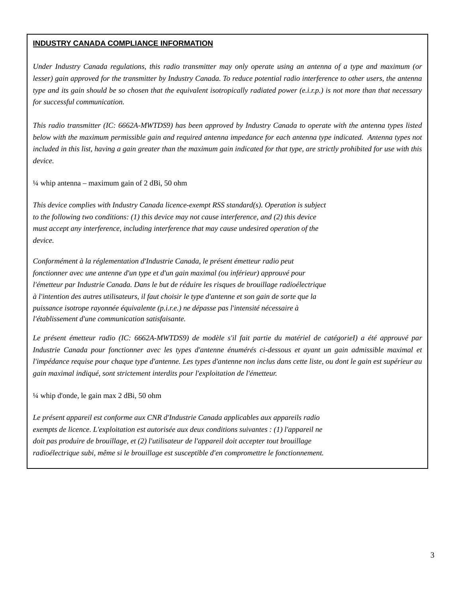#### **INDUSTRY CANADA COMPLIANCE INFORMATION**

*Under Industry Canada regulations, this radio transmitter may only operate using an antenna of a type and maximum (or lesser) gain approved for the transmitter by Industry Canada. To reduce potential radio interference to other users, the antenna type and its gain should be so chosen that the equivalent isotropically radiated power (e.i.r.p.) is not more than that necessary for successful communication.* 

*This radio transmitter (IC: 6662A-MWTDS9) has been approved by Industry Canada to operate with the antenna types listed below with the maximum permissible gain and required antenna impedance for each antenna type indicated. Antenna types not included in this list, having a gain greater than the maximum gain indicated for that type, are strictly prohibited for use with this device.* 

 $\frac{1}{4}$  whip antenna – maximum gain of 2 dBi, 50 ohm

*This device complies with Industry Canada licence-exempt RSS standard(s). Operation is subject to the following two conditions: (1) this device may not cause interference, and (2) this device must accept any interference, including interference that may cause undesired operation of the device.* 

*Conformément à la réglementation d'Industrie Canada, le présent émetteur radio peut fonctionner avec une antenne d'un type et d'un gain maximal (ou inférieur) approuvé pour l'émetteur par Industrie Canada. Dans le but de réduire les risques de brouillage radioélectrique à l'intention des autres utilisateurs, il faut choisir le type d'antenne et son gain de sorte que la puissance isotrope rayonnée équivalente (p.i.r.e.) ne dépasse pas l'intensité nécessaire à l'établissement d'une communication satisfaisante.* 

*Le présent émetteur radio (IC: 6662A-MWTDS9) de modèle s'il fait partie du matériel de catégorieI) a été approuvé par*  Industrie Canada pour fonctionner avec les types d'antenne énumérés ci-dessous et ayant un gain admissible maximal et *l'impédance requise pour chaque type d'antenne. Les types d'antenne non inclus dans cette liste, ou dont le gain est supérieur au gain maximal indiqué, sont strictement interdits pour l'exploitation de l'émetteur.* 

¼ whip d'onde, le gain max 2 dBi, 50 ohm

*Le présent appareil est conforme aux CNR d'Industrie Canada applicables aux appareils radio exempts de licence. L'exploitation est autorisée aux deux conditions suivantes : (1) l'appareil ne doit pas produire de brouillage, et (2) l'utilisateur de l'appareil doit accepter tout brouillage radioélectrique subi, même si le brouillage est susceptible d'en compromettre le fonctionnement.*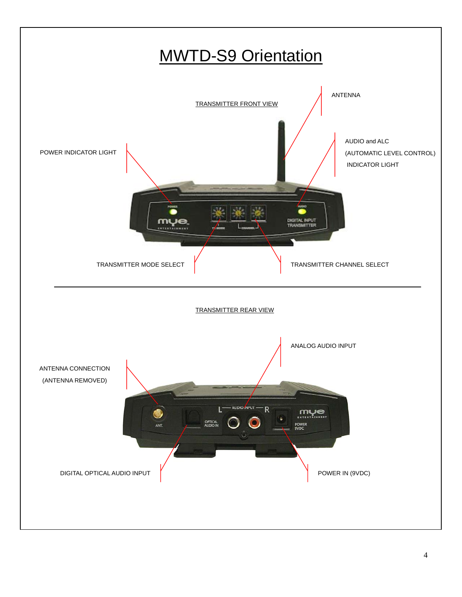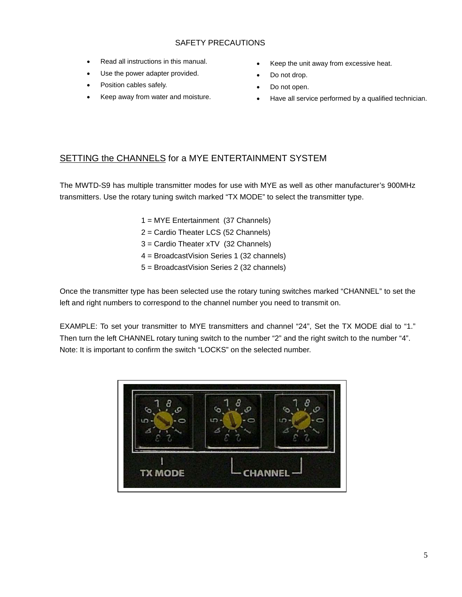#### SAFETY PRECAUTIONS

- Read all instructions in this manual.
- Use the power adapter provided.
- Position cables safely.
- Keep away from water and moisture.
- Keep the unit away from excessive heat.
- Do not drop.
- Do not open.
- Have all service performed by a qualified technician.

## SETTING the CHANNELS for a MYE ENTERTAINMENT SYSTEM

The MWTD-S9 has multiple transmitter modes for use with MYE as well as other manufacturer's 900MHz transmitters. Use the rotary tuning switch marked "TX MODE" to select the transmitter type.

- 1 = MYE Entertainment (37 Channels)
- 2 = Cardio Theater LCS (52 Channels)
- 3 = Cardio Theater xTV (32 Channels)
- 4 = BroadcastVision Series 1 (32 channels)
- 5 = BroadcastVision Series 2 (32 channels)

Once the transmitter type has been selected use the rotary tuning switches marked "CHANNEL" to set the left and right numbers to correspond to the channel number you need to transmit on.

EXAMPLE: To set your transmitter to MYE transmitters and channel "24", Set the TX MODE dial to "1." Then turn the left CHANNEL rotary tuning switch to the number "2" and the right switch to the number "4". Note: It is important to confirm the switch "LOCKS" on the selected number.

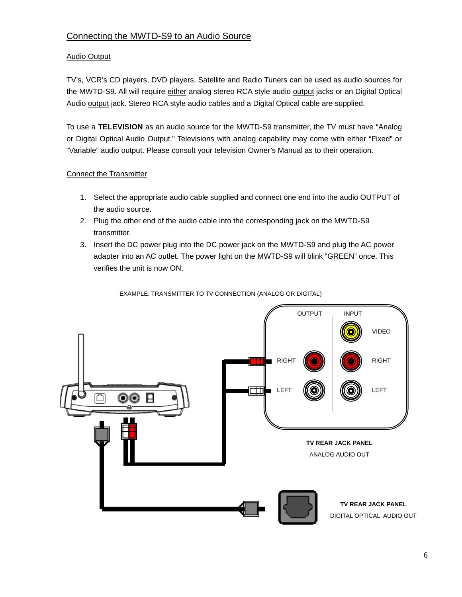## Connecting the MWTD-S9 to an Audio Source

#### Audio Output

TV's, VCR's CD players, DVD players, Satellite and Radio Tuners can be used as audio sources for the MWTD-S9. All will require either analog stereo RCA style audio output jacks or an Digital Optical Audio output jack. Stereo RCA style audio cables and a Digital Optical cable are supplied.

To use a **TELEVISION** as an audio source for the MWTD-S9 transmitter, the TV must have "Analog or Digital Optical Audio Output." Televisions with analog capability may come with either "Fixed" or "Variable" audio output. Please consult your television Owner's Manual as to their operation.

#### Connect the Transmitter

- 1. Select the appropriate audio cable supplied and connect one end into the audio OUTPUT of the audio source.
- 2. Plug the other end of the audio cable into the corresponding jack on the MWTD-S9 transmitter.
- 3. Insert the DC power plug into the DC power jack on the MWTD-S9 and plug the AC power adapter into an AC outlet. The power light on the MWTD-S9 will blink "GREEN" once. This verifies the unit is now ON.

EXAMPLE: TRANSMITTER TO TV CONNECTION (ANALOG OR DIGITAL)

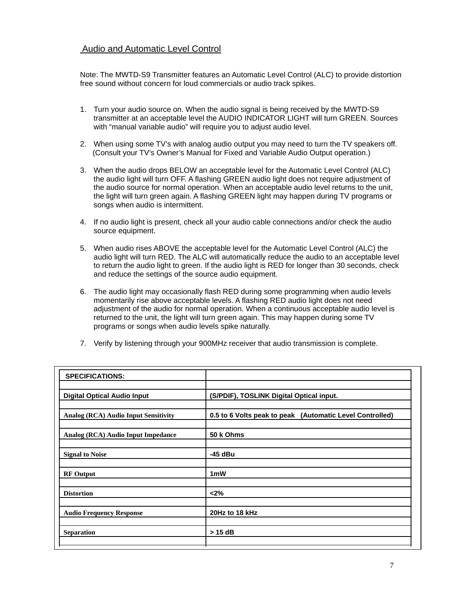#### Audio and Automatic Level Control

Note: The MWTD-S9 Transmitter features an Automatic Level Control (ALC) to provide distortion free sound without concern for loud commercials or audio track spikes.

- 1. Turn your audio source on. When the audio signal is being received by the MWTD-S9 transmitter at an acceptable level the AUDIO INDICATOR LIGHT will turn GREEN. Sources with "manual variable audio" will require you to adjust audio level.
- 2. When using some TV's with analog audio output you may need to turn the TV speakers off. (Consult your TV's Owner's Manual for Fixed and Variable Audio Output operation.)
- 3. When the audio drops BELOW an acceptable level for the Automatic Level Control (ALC) the audio light will turn OFF. A flashing GREEN audio light does not require adjustment of the audio source for normal operation. When an acceptable audio level returns to the unit, the light will turn green again. A flashing GREEN light may happen during TV programs or songs when audio is intermittent.
- 4. If no audio light is present, check all your audio cable connections and/or check the audio source equipment.
- 5. When audio rises ABOVE the acceptable level for the Automatic Level Control (ALC) the audio light will turn RED. The ALC will automatically reduce the audio to an acceptable level to return the audio light to green. If the audio light is RED for longer than 30 seconds, check and reduce the settings of the source audio equipment.
- 6. The audio light may occasionally flash RED during some programming when audio levels momentarily rise above acceptable levels. A flashing RED audio light does not need adjustment of the audio for normal operation. When a continuous acceptable audio level is returned to the unit, the light will turn green again. This may happen during some TV programs or songs when audio levels spike naturally.
- 7. Verify by listening through your 900MHz receiver that audio transmission is complete.

| <b>SPECIFICATIONS:</b>               |                                                          |
|--------------------------------------|----------------------------------------------------------|
| <b>Digital Optical Audio Input</b>   | (S/PDIF), TOSLINK Digital Optical input.                 |
| Analog (RCA) Audio Input Sensitivity | 0.5 to 6 Volts peak to peak (Automatic Level Controlled) |
| Analog (RCA) Audio Input Impedance   | 50 k Ohms                                                |
| <b>Signal to Noise</b>               | -45 dBu                                                  |
| <b>RF</b> Output                     | 1 <sub>m</sub> W                                         |
| <b>Distortion</b>                    | < 2%                                                     |
| <b>Audio Frequency Response</b>      | 20Hz to 18 kHz                                           |
| <b>Separation</b>                    | > 15 dB                                                  |
|                                      |                                                          |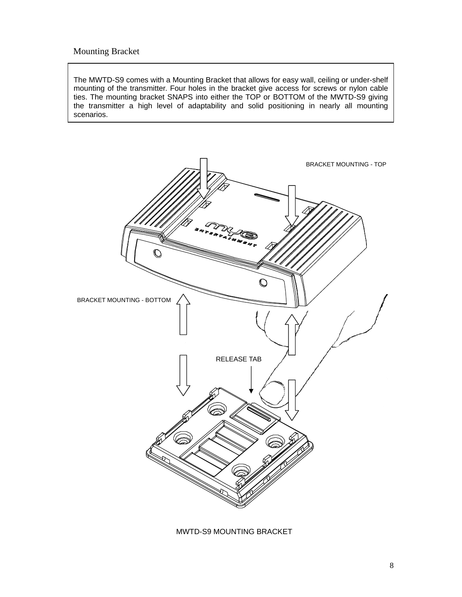## Mounting Bracket

The MWTD-S9 comes with a Mounting Bracket that allows for easy wall, ceiling or under-shelf mounting of the transmitter. Four holes in the bracket give access for screws or nylon cable ties. The mounting bracket SNAPS into either the TOP or BOTTOM of the MWTD-S9 giving the transmitter a high level of adaptability and solid positioning in nearly all mounting scenarios.



MWTD-S9 MOUNTING BRACKET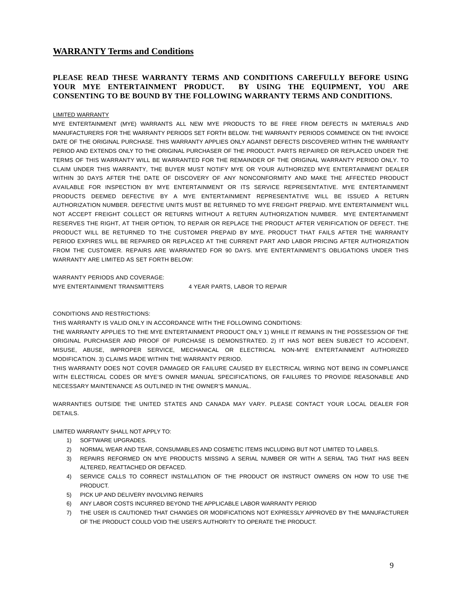#### **WARRANTY Terms and Conditions**

#### **PLEASE READ THESE WARRANTY TERMS AND CONDITIONS CAREFULLY BEFORE USING YOUR MYE ENTERTAINMENT PRODUCT. BY USING THE EQUIPMENT, YOU ARE CONSENTING TO BE BOUND BY THE FOLLOWING WARRANTY TERMS AND CONDITIONS.**

#### LIMITED WARRANTY

MYE ENTERTAINMENT (MYE) WARRANTS ALL NEW MYE PRODUCTS TO BE FREE FROM DEFECTS IN MATERIALS AND MANUFACTURERS FOR THE WARRANTY PERIODS SET FORTH BELOW. THE WARRANTY PERIODS COMMENCE ON THE INVOICE DATE OF THE ORIGINAL PURCHASE. THIS WARRANTY APPLIES ONLY AGAINST DEFECTS DISCOVERED WITHIN THE WARRANTY PERIOD AND EXTENDS ONLY TO THE ORIGINAL PURCHASER OF THE PRODUCT. PARTS REPAIRED OR REPLACED UNDER THE TERMS OF THIS WARRANTY WILL BE WARRANTED FOR THE REMAINDER OF THE ORIGINAL WARRANTY PERIOD ONLY. TO CLAIM UNDER THIS WARRANTY, THE BUYER MUST NOTIFY MYE OR YOUR AUTHORIZED MYE ENTERTAINMENT DEALER WITHIN 30 DAYS AFTER THE DATE OF DISCOVERY OF ANY NONCONFORMITY AND MAKE THE AFFECTED PRODUCT AVAILABLE FOR INSPECTION BY MYE ENTERTAINMENT OR ITS SERVICE REPRESENTATIVE. MYE ENTERTAINMENT PRODUCTS DEEMED DEFECTIVE BY A MYE ENTERTAINMENT REPRESENTATIVE WILL BE ISSUED A RETURN AUTHORIZATION NUMBER. DEFECTIVE UNITS MUST BE RETURNED TO MYE FREIGHT PREPAID. MYE ENTERTAINMENT WILL NOT ACCEPT FREIGHT COLLECT OR RETURNS WITHOUT A RETURN AUTHORIZATION NUMBER. MYE ENTERTAINMENT RESERVES THE RIGHT, AT THEIR OPTION, TO REPAIR OR REPLACE THE PRODUCT AFTER VERIFICATION OF DEFECT. THE PRODUCT WILL BE RETURNED TO THE CUSTOMER PREPAID BY MYE. PRODUCT THAT FAILS AFTER THE WARRANTY PERIOD EXPIRES WILL BE REPAIRED OR REPLACED AT THE CURRENT PART AND LABOR PRICING AFTER AUTHORIZATION FROM THE CUSTOMER. REPAIRS ARE WARRANTED FOR 90 DAYS. MYE ENTERTAINMENT'S OBLIGATIONS UNDER THIS WARRANTY ARE LIMITED AS SET FORTH BELOW:

WARRANTY PERIODS AND COVERAGE:

MYE ENTERTAINMENT TRANSMITTERS 4 YEAR PARTS, LABOR TO REPAIR

#### CONDITIONS AND RESTRICTIONS:

THIS WARRANTY IS VALID ONLY IN ACCORDANCE WITH THE FOLLOWING CONDITIONS:

THE WARRANTY APPLIES TO THE MYE ENTERTAINMENT PRODUCT ONLY 1) WHILE IT REMAINS IN THE POSSESSION OF THE ORIGINAL PURCHASER AND PROOF OF PURCHASE IS DEMONSTRATED. 2) IT HAS NOT BEEN SUBJECT TO ACCIDENT, MISUSE, ABUSE, IMPROPER SERVICE, MECHANICAL OR ELECTRICAL NON-MYE ENTERTAINMENT AUTHORIZED MODIFICATION. 3) CLAIMS MADE WITHIN THE WARRANTY PERIOD.

THIS WARRANTY DOES NOT COVER DAMAGED OR FAILURE CAUSED BY ELECTRICAL WIRING NOT BEING IN COMPLIANCE WITH ELECTRICAL CODES OR MYE'S OWNER MANUAL SPECIFICATIONS, OR FAILURES TO PROVIDE REASONABLE AND NECESSARY MAINTENANCE AS OUTLINED IN THE OWNER'S MANUAL.

WARRANTIES OUTSIDE THE UNITED STATES AND CANADA MAY VARY. PLEASE CONTACT YOUR LOCAL DEALER FOR DETAILS.

LIMITED WARRANTY SHALL NOT APPLY TO:

- 1) SOFTWARE UPGRADES.
- 2) NORMAL WEAR AND TEAR, CONSUMABLES AND COSMETIC ITEMS INCLUDING BUT NOT LIMITED TO LABELS.
- 3) REPAIRS REFORMED ON MYE PRODUCTS MISSING A SERIAL NUMBER OR WITH A SERIAL TAG THAT HAS BEEN ALTERED, REATTACHED OR DEFACED.
- 4) SERVICE CALLS TO CORRECT INSTALLATION OF THE PRODUCT OR INSTRUCT OWNERS ON HOW TO USE THE PRODUCT.
- 5) PICK UP AND DELIVERY INVOLVING REPAIRS
- 6) ANY LABOR COSTS INCURRED BEYOND THE APPLICABLE LABOR WARRANTY PERIOD
- 7) THE USER IS CAUTIONED THAT CHANGES OR MODIFICATIONS NOT EXPRESSLY APPROVED BY THE MANUFACTURER OF THE PRODUCT COULD VOID THE USER'S AUTHORITY TO OPERATE THE PRODUCT.